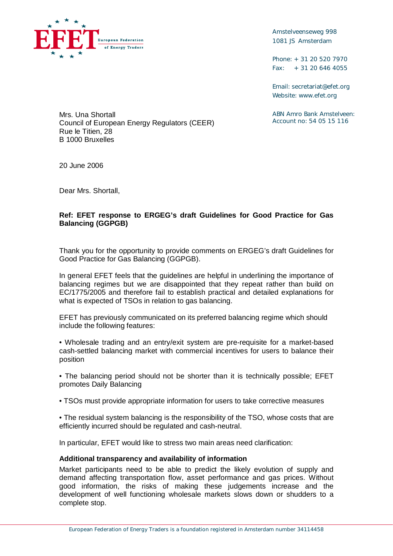

Amstelveenseweg 998 1081 JS Amsterdam

Phone: + 31 20 520 7970 Fax: + 31 20 646 4055

Email: [secretariat@efet.org](mailto:secretariat@efet.org) Website: [www.efet.org](http://www.efet.org)

ABN Amro Bank Amstelveen: Account no: 54 05 15 116

Mrs. Una Shortall Council of European Energy Regulators (CEER) Rue le Titien, 28 B 1000 Bruxelles

20 June 2006

Dear Mrs. Shortall,

## **Ref: EFET response to ERGEG's draft Guidelines for Good Practice for Gas Balancing (GGPGB)**

Thank you for the opportunity to provide comments on ERGEG's draft Guidelines for Good Practice for Gas Balancing (GGPGB).

In general EFET feels that the guidelines are helpful in underlining the importance of balancing regimes but we are disappointed that they repeat rather than build on EC/1775/2005 and therefore fail to establish practical and detailed explanations for what is expected of TSOs in relation to gas balancing.

EFET has previously communicated on its preferred balancing regime which should include the following features:

• Wholesale trading and an entry/exit system are pre-requisite for a market-based cash-settled balancing market with commercial incentives for users to balance their position

• The balancing period should not be shorter than it is technically possible; EFET promotes Daily Balancing

- TSOs must provide appropriate information for users to take corrective measures
- The residual system balancing is the responsibility of the TSO, whose costs that are efficiently incurred should be regulated and cash-neutral.

In particular, EFET would like to stress two main areas need clarification:

## **Additional transparency and availability of information**

Market participants need to be able to predict the likely evolution of supply and demand affecting transportation flow, asset performance and gas prices. Without good information, the risks of making these judgements increase and the development of well functioning wholesale markets slows down or shudders to a complete stop.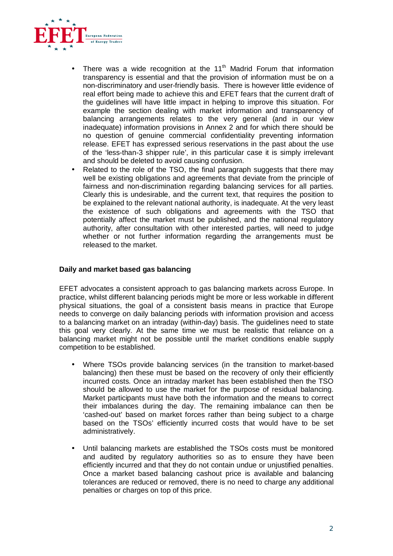

- There was a wide recognition at the  $11<sup>th</sup>$  Madrid Forum that information transparency is essential and that the provision of information must be on a non-discriminatory and user-friendly basis. There is however little evidence of real effort being made to achieve this and EFET fears that the current draft of the guidelines will have little impact in helping to improve this situation. For example the section dealing with market information and transparency of balancing arrangements relates to the very general (and in our view inadequate) information provisions in Annex 2 and for which there should be no question of genuine commercial confidentiality preventing information release. EFET has expressed serious reservations in the past about the use of the 'less-than-3 shipper rule', in this particular case it is simply irrelevant and should be deleted to avoid causing confusion.
- Related to the role of the TSO, the final paragraph suggests that there may well be existing obligations and agreements that deviate from the principle of fairness and non-discrimination regarding balancing services for all parties. Clearly this is undesirable, and the current text, that requires the position to be explained to the relevant national authority, is inadequate. At the very least the existence of such obligations and agreements with the TSO that potentially affect the market must be published, and the national regulatory authority, after consultation with other interested parties, will need to judge whether or not further information regarding the arrangements must be released to the market.

## **Daily and market based gas balancing**

EFET advocates a consistent approach to gas balancing markets across Europe. In practice, whilst different balancing periods might be more or less workable in different physical situations, the goal of a consistent basis means in practice that Europe needs to converge on daily balancing periods with information provision and access to a balancing market on an intraday (within-day) basis. The guidelines need to state this goal very clearly. At the same time we must be realistic that reliance on a balancing market might not be possible until the market conditions enable supply competition to be established.

- Where TSOs provide balancing services (in the transition to market-based balancing) then these must be based on the recovery of only their efficiently incurred costs. Once an intraday market has been established then the TSO should be allowed to use the market for the purpose of residual balancing. Market participants must have both the information and the means to correct their imbalances during the day. The remaining imbalance can then be 'cashed-out' based on market forces rather than being subject to a charge based on the TSOs' efficiently incurred costs that would have to be set administratively.
- Until balancing markets are established the TSOs costs must be monitored and audited by regulatory authorities so as to ensure they have been efficiently incurred and that they do not contain undue or unjustified penalties. Once a market based balancing cashout price is available and balancing tolerances are reduced or removed, there is no need to charge any additional penalties or charges on top of this price.